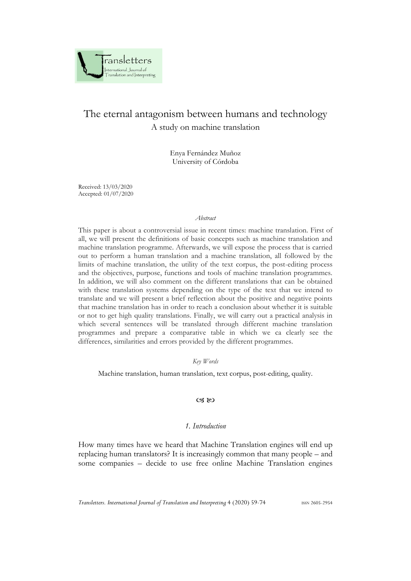

# The eternal antagonism between humans and technology A study on machine translation

Enya Fernández Muñoz University of Córdoba

Received: 13/03/2020 Accepted: 01/07/2020

#### *Abstract*

This paper is about a controversial issue in recent times: machine translation. First of all, we will present the definitions of basic concepts such as machine translation and machine translation programme. Afterwards, we will expose the process that is carried out to perform a human translation and a machine translation, all followed by the limits of machine translation, the utility of the text corpus, the post-editing process and the objectives, purpose, functions and tools of machine translation programmes. In addition, we will also comment on the different translations that can be obtained with these translation systems depending on the type of the text that we intend to translate and we will present a brief reflection about the positive and negative points that machine translation has in order to reach a conclusion about whether it is suitable or not to get high quality translations. Finally, we will carry out a practical analysis in which several sentences will be translated through different machine translation programmes and prepare a comparative table in which we ca clearly see the differences, similarities and errors provided by the different programmes.

*Key Words*

Machine translation, human translation, text corpus, post-editing, quality.

#### $\alpha$   $\infty$

## *1. Introduction*

How many times have we heard that Machine Translation engines will end up replacing human translators? It is increasingly common that many people – and some companies – decide to use free online Machine Translation engines

*Transletters. International Journal of Translation and Interpreting* 4 (2020) 59-74 ISSN 2605-2954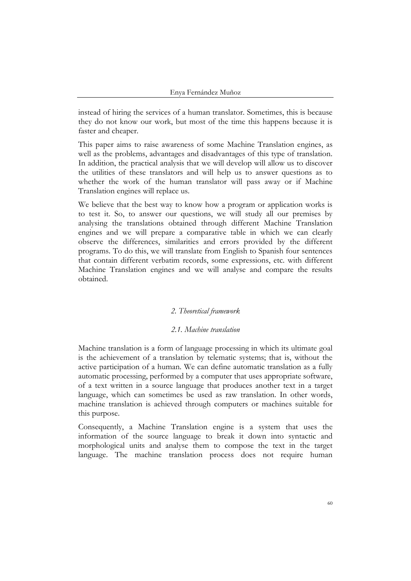instead of hiring the services of a human translator. Sometimes, this is because they do not know our work, but most of the time this happens because it is faster and cheaper.

This paper aims to raise awareness of some Machine Translation engines, as well as the problems, advantages and disadvantages of this type of translation. In addition, the practical analysis that we will develop will allow us to discover the utilities of these translators and will help us to answer questions as to whether the work of the human translator will pass away or if Machine Translation engines will replace us.

We believe that the best way to know how a program or application works is to test it. So, to answer our questions, we will study all our premises by analysing the translations obtained through different Machine Translation engines and we will prepare a comparative table in which we can clearly observe the differences, similarities and errors provided by the different programs. To do this, we will translate from English to Spanish four sentences that contain different verbatim records, some expressions, etc. with different Machine Translation engines and we will analyse and compare the results obtained.

## *2. Theoretical framework*

#### *2.1. Machine translation*

Machine translation is a form of language processing in which its ultimate goal is the achievement of a translation by telematic systems; that is, without the active participation of a human. We can define automatic translation as a fully automatic processing, performed by a computer that uses appropriate software, of a text written in a source language that produces another text in a target language, which can sometimes be used as raw translation. In other words, machine translation is achieved through computers or machines suitable for this purpose.

Consequently, a Machine Translation engine is a system that uses the information of the source language to break it down into syntactic and morphological units and analyse them to compose the text in the target language. The machine translation process does not require human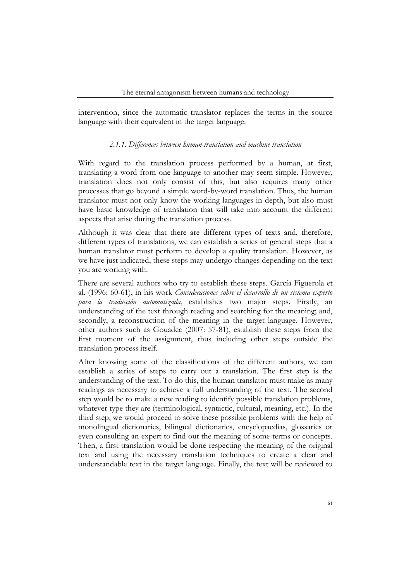intervention, since the automatic translator replaces the terms in the source language with their equivalent in the target language.

## *2.1.1. Differences between human translation and machine translation*

With regard to the translation process performed by a human, at first, translating a word from one language to another may seem simple. However, translation does not only consist of this, but also requires many other processes that go beyond a simple word-by-word translation. Thus, the human translator must not only know the working languages in depth, but also must have basic knowledge of translation that will take into account the different aspects that arise during the translation process.

Although it was clear that there are different types of texts and, therefore, different types of translations, we can establish a series of general steps that a human translator must perform to develop a quality translation. However, as we have just indicated, these steps may undergo changes depending on the text you are working with.

There are several authors who try to establish these steps. García Figuerola et al. (1996: 60-61), in his work *Consideraciones sobre el desarrollo de un sistema experto para la traducción automatizada*, establishes two major steps. Firstly, an understanding of the text through reading and searching for the meaning; and, secondly, a reconstruction of the meaning in the target language. However, other authors such as Gouadec (2007: 57-81), establish these steps from the first moment of the assignment, thus including other steps outside the translation process itself.

After knowing some of the classifications of the different authors, we can establish a series of steps to carry out a translation. The first step is the understanding of the text. To do this, the human translator must make as many readings as necessary to achieve a full understanding of the text. The second step would be to make a new reading to identify possible translation problems, whatever type they are (terminological, syntactic, cultural, meaning, etc.). In the third step, we would proceed to solve these possible problems with the help of monolingual dictionaries, bilingual dictionaries, encyclopaedias, glossaries or even consulting an expert to find out the meaning of some terms or concepts. Then, a first translation would be done respecting the meaning of the original text and using the necessary translation techniques to create a clear and understandable text in the target language. Finally, the text will be reviewed to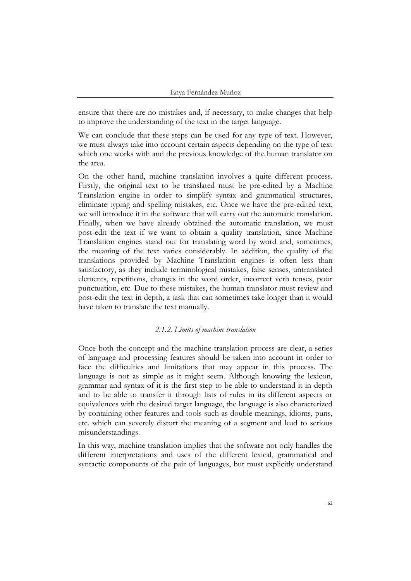ensure that there are no mistakes and, if necessary, to make changes that help to improve the understanding of the text in the target language.

We can conclude that these steps can be used for any type of text. However, we must always take into account certain aspects depending on the type of text which one works with and the previous knowledge of the human translator on the area.

On the other hand, machine translation involves a quite different process. Firstly, the original text to be translated must be pre-edited by a Machine Translation engine in order to simplify syntax and grammatical structures, eliminate typing and spelling mistakes, etc. Once we have the pre-edited text, we will introduce it in the software that will carry out the automatic translation. Finally, when we have already obtained the automatic translation, we must post-edit the text if we want to obtain a quality translation, since Machine Translation engines stand out for translating word by word and, sometimes, the meaning of the text varies considerably. In addition, the quality of the translations provided by Machine Translation engines is often less than satisfactory, as they include terminological mistakes, false senses, untranslated elements, repetitions, changes in the word order, incorrect verb tenses, poor punctuation, etc. Due to these mistakes, the human translator must review and post-edit the text in depth, a task that can sometimes take longer than it would have taken to translate the text manually.

## *2.1.2. Limits of machine translation*

Once both the concept and the machine translation process are clear, a series of language and processing features should be taken into account in order to face the difficulties and limitations that may appear in this process. The language is not as simple as it might seem. Although knowing the lexicon, grammar and syntax of it is the first step to be able to understand it in depth and to be able to transfer it through lists of rules in its different aspects or equivalences with the desired target language, the language is also characterized by containing other features and tools such as double meanings, idioms, puns, etc. which can severely distort the meaning of a segment and lead to serious misunderstandings.

In this way, machine translation implies that the software not only handles the different interpretations and uses of the different lexical, grammatical and syntactic components of the pair of languages, but must explicitly understand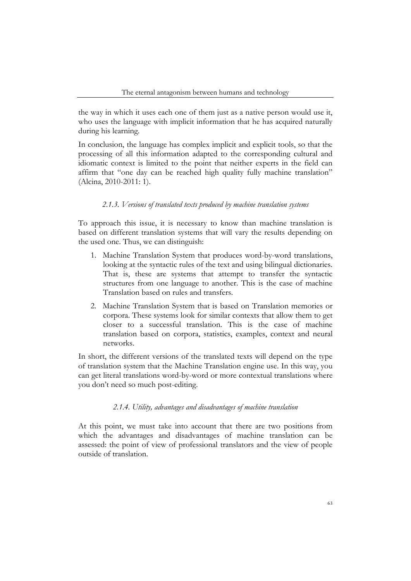the way in which it uses each one of them just as a native person would use it, who uses the language with implicit information that he has acquired naturally during his learning.

In conclusion, the language has complex implicit and explicit tools, so that the processing of all this information adapted to the corresponding cultural and idiomatic context is limited to the point that neither experts in the field can affirm that "one day can be reached high quality fully machine translation" (Alcina, 2010-2011: 1).

#### *2.1.3. Versions of translated texts produced by machine translation systems*

To approach this issue, it is necessary to know than machine translation is based on different translation systems that will vary the results depending on the used one. Thus, we can distinguish:

- 1. Machine Translation System that produces word-by-word translations, looking at the syntactic rules of the text and using bilingual dictionaries. That is, these are systems that attempt to transfer the syntactic structures from one language to another. This is the case of machine Translation based on rules and transfers.
- 2. Machine Translation System that is based on Translation memories or corpora. These systems look for similar contexts that allow them to get closer to a successful translation. This is the case of machine translation based on corpora, statistics, examples, context and neural networks.

In short, the different versions of the translated texts will depend on the type of translation system that the Machine Translation engine use. In this way, you can get literal translations word-by-word or more contextual translations where you don't need so much post-editing.

#### *2.1.4. Utility, advantages and disadvantages of machine translation*

At this point, we must take into account that there are two positions from which the advantages and disadvantages of machine translation can be assessed: the point of view of professional translators and the view of people outside of translation.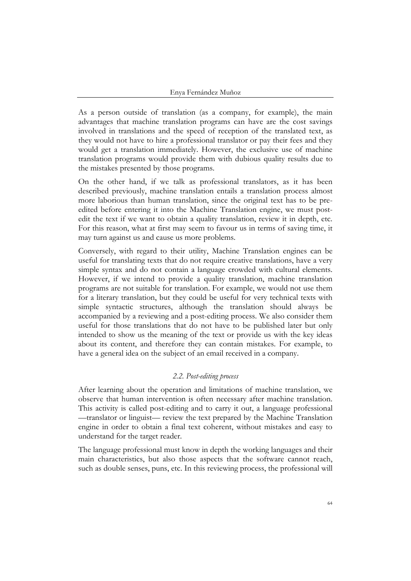As a person outside of translation (as a company, for example), the main advantages that machine translation programs can have are the cost savings involved in translations and the speed of reception of the translated text, as they would not have to hire a professional translator or pay their fees and they would get a translation immediately. However, the exclusive use of machine translation programs would provide them with dubious quality results due to the mistakes presented by those programs.

On the other hand, if we talk as professional translators, as it has been described previously, machine translation entails a translation process almost more laborious than human translation, since the original text has to be preedited before entering it into the Machine Translation engine, we must postedit the text if we want to obtain a quality translation, review it in depth, etc. For this reason, what at first may seem to favour us in terms of saving time, it may turn against us and cause us more problems.

Conversely, with regard to their utility, Machine Translation engines can be useful for translating texts that do not require creative translations, have a very simple syntax and do not contain a language crowded with cultural elements. However, if we intend to provide a quality translation, machine translation programs are not suitable for translation. For example, we would not use them for a literary translation, but they could be useful for very technical texts with simple syntactic structures, although the translation should always be accompanied by a reviewing and a post-editing process. We also consider them useful for those translations that do not have to be published later but only intended to show us the meaning of the text or provide us with the key ideas about its content, and therefore they can contain mistakes. For example, to have a general idea on the subject of an email received in a company.

## *2.2. Post-editing process*

After learning about the operation and limitations of machine translation, we observe that human intervention is often necessary after machine translation. This activity is called post-editing and to carry it out, a language professional —translator or linguist— review the text prepared by the Machine Translation engine in order to obtain a final text coherent, without mistakes and easy to understand for the target reader.

The language professional must know in depth the working languages and their main characteristics, but also those aspects that the software cannot reach, such as double senses, puns, etc. In this reviewing process, the professional will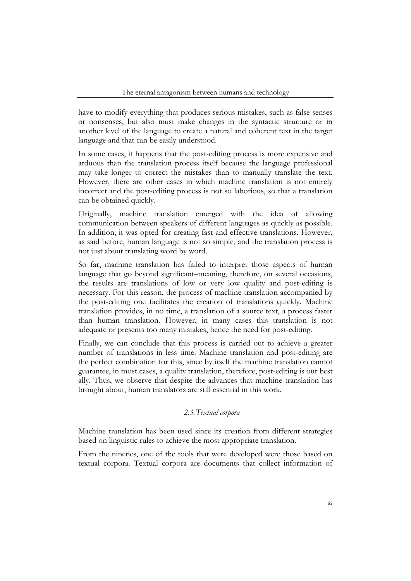have to modify everything that produces serious mistakes, such as false senses or nonsenses, but also must make changes in the syntactic structure or in another level of the language to create a natural and coherent text in the target language and that can be easily understood.

In some cases, it happens that the post-editing process is more expensive and arduous than the translation process itself because the language professional may take longer to correct the mistakes than to manually translate the text. However, there are other cases in which machine translation is not entirely incorrect and the post-editing process is not so laborious, so that a translation can be obtained quickly.

Originally, machine translation emerged with the idea of allowing communication between speakers of different languages as quickly as possible. In addition, it was opted for creating fast and effective translations. However, as said before, human language is not so simple, and the translation process is not just about translating word by word.

So far, machine translation has failed to interpret those aspects of human language that go beyond significant–meaning, therefore, on several occasions, the results are translations of low or very low quality and post-editing is necessary. For this reason, the process of machine translation accompanied by the post-editing one facilitates the creation of translations quickly. Machine translation provides, in no time, a translation of a source text, a process faster than human translation. However, in many cases this translation is not adequate or presents too many mistakes, hence the need for post-editing.

Finally, we can conclude that this process is carried out to achieve a greater number of translations in less time. Machine translation and post-editing are the perfect combination for this, since by itself the machine translation cannot guarantee, in most cases, a quality translation, therefore, post-editing is our best ally. Thus, we observe that despite the advances that machine translation has brought about, human translators are still essential in this work.

## *2.3.Textual corpora*

Machine translation has been used since its creation from different strategies based on linguistic rules to achieve the most appropriate translation.

From the nineties, one of the tools that were developed were those based on textual corpora. Textual corpora are documents that collect information of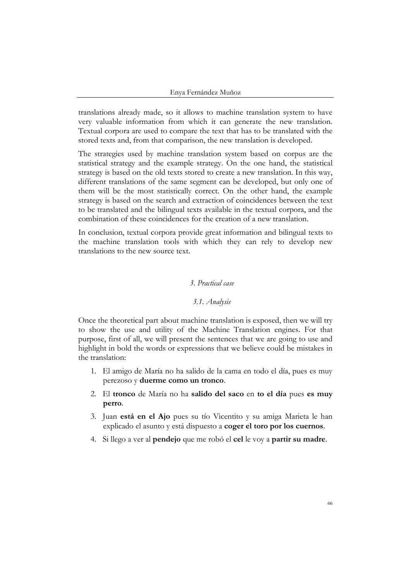translations already made, so it allows to machine translation system to have very valuable information from which it can generate the new translation. Textual corpora are used to compare the text that has to be translated with the stored texts and, from that comparison, the new translation is developed.

The strategies used by machine translation system based on corpus are the statistical strategy and the example strategy. On the one hand, the statistical strategy is based on the old texts stored to create a new translation. In this way, different translations of the same segment can be developed, but only one of them will be the most statistically correct. On the other hand, the example strategy is based on the search and extraction of coincidences between the text to be translated and the bilingual texts available in the textual corpora, and the combination of these coincidences for the creation of a new translation.

In conclusion, textual corpora provide great information and bilingual texts to the machine translation tools with which they can rely to develop new translations to the new source text.

## *3. Practical case*

#### *3.1. Analysis*

Once the theoretical part about machine translation is exposed, then we will try to show the use and utility of the Machine Translation engines. For that purpose, first of all, we will present the sentences that we are going to use and highlight in bold the words or expressions that we believe could be mistakes in the translation:

- 1. El amigo de María no ha salido de la cama en todo el día, pues es muy perezoso y **duerme como un tronco**.
- 2. El **tronco** de María no ha **salido del saco** en **to el día** pues **es muy perro**.
- 3. Juan **está en el Ajo** pues su tío Vicentito y su amiga Marieta le han explicado el asunto y está dispuesto a **coger el toro por los cuernos**.
- 4. Si llego a ver al **pendejo** que me robó el **cel** le voy a **partir su madre**.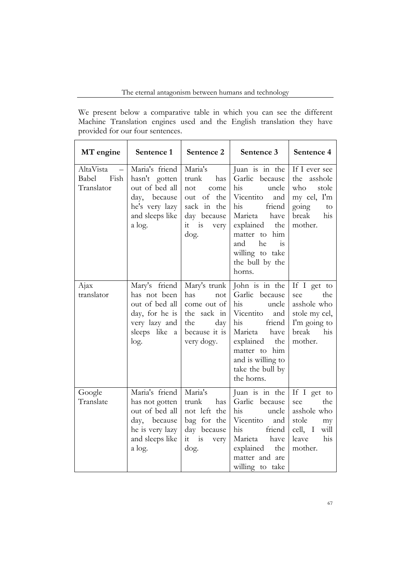We present below a comparative table in which you can see the different Machine Translation engines used and the English translation they have provided for our four sentences.

| MT engine                                | Sentence 1                                                                                                         | Sentence 2                                                                                                       | Sentence 3                                                                                                                                                                                                 | Sentence 4                                                                                            |
|------------------------------------------|--------------------------------------------------------------------------------------------------------------------|------------------------------------------------------------------------------------------------------------------|------------------------------------------------------------------------------------------------------------------------------------------------------------------------------------------------------------|-------------------------------------------------------------------------------------------------------|
| AltaVista<br>Fish<br>Babel<br>Translator | Maria's friend<br>hasn't gotten<br>out of bed all<br>day, because<br>he's very lazy<br>and sleeps like<br>a log.   | Maria's<br>trunk<br>has<br>not<br>come<br>of the<br>out<br>sack in the<br>day because<br>$it$ is<br>very<br>dog. | Juan is in the<br>Garlic because<br>his<br>uncle<br>Vicentito<br>and<br>his<br>friend<br>Marieta have<br>explained the<br>matter to him<br>he<br>and<br>1S<br>willing to take<br>the bull by the<br>horns. | If I ever see<br>the asshole<br>who<br>stole<br>my cel, I'm<br>going<br>to<br>break<br>his<br>mother. |
| Ajax<br>translator                       | Mary's friend<br>has not been<br>out of bed all<br>day, for he is<br>very lazy and<br>sleeps like a<br>log.        | Mary's trunk<br>has<br>not<br>come out of<br>the sack in<br>the<br>day<br>because it is<br>very dogy.            | John is in the<br>Garlic because<br>his<br>uncle<br>Vicentito<br>and<br>his<br>friend<br>Marieta<br>have<br>explained<br>the<br>matter to him<br>and is willing to<br>take the bull by<br>the horns.       | If I get to<br>see<br>the<br>asshole who<br>stole my cel,<br>I'm going to<br>break<br>his<br>mother.  |
| Google<br>Translate                      | Maria's friend<br>has not gotten<br>out of bed all<br>day, because<br>he is very lazy<br>and sleeps like<br>a log. | Maria's<br>trunk<br>has<br>not left the<br>bag for the<br>day because<br>it is<br>very<br>dog.                   | Juan is in the<br>Garlic because<br>his<br>uncle<br>Vicentito<br>and<br>his<br>friend<br>Marieta have<br>explained<br>the<br>matter and are<br>willing to take                                             | If I get to<br>the<br>see<br>asshole who<br>stole<br>my<br>cell, I<br>will<br>leave<br>his<br>mother. |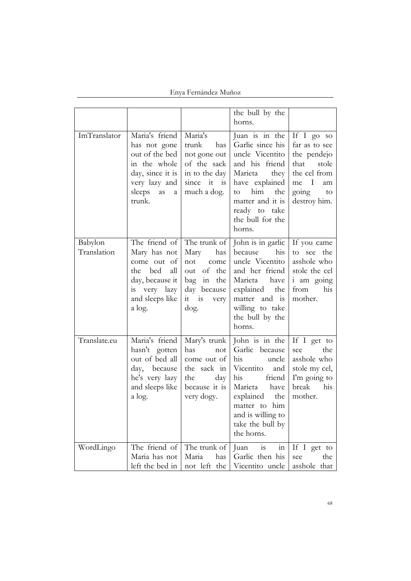Enya Fernández Muñoz

|                        |                                                                                                                                             |                                                                                                       | the bull by the<br>horns.                                                                                                                                                                           |                                                                                                                          |
|------------------------|---------------------------------------------------------------------------------------------------------------------------------------------|-------------------------------------------------------------------------------------------------------|-----------------------------------------------------------------------------------------------------------------------------------------------------------------------------------------------------|--------------------------------------------------------------------------------------------------------------------------|
| ImTranslator           | Maria's friend<br>has not gone<br>out of the bed<br>in the whole<br>day, since it is<br>very lazy and<br>sleeps<br>as<br>a<br>trunk.        | Maria's<br>trunk has<br>not gone out<br>of the sack<br>in to the day<br>since it is<br>much a dog.    | Juan is in the<br>Garlic since his<br>uncle Vicentito<br>and his friend<br>Marieta<br>they<br>have explained<br>him<br>the<br>to<br>matter and it is<br>ready to take<br>the bull for the<br>horns. | If I go so<br>far as to see<br>the pendejo<br>that<br>stole<br>the cel from<br>me I<br>am<br>going<br>to<br>destroy him. |
| Babylon<br>Translation | The friend of The trunk of<br>Mary has not<br>come out of<br>the bed<br>all<br>day, because it<br>is very lazy<br>and sleeps like<br>a log. | Mary has<br>not<br>come<br>out of the<br>bag in the<br>day because<br>$it$ is<br>very<br>dog.         | John is in garlic<br>because<br>his<br>uncle Vicentito<br>and her friend<br>Marieta<br>have<br>explained<br>the<br>matter and is<br>willing to take<br>the bull by the<br>horns.                    | If you came<br>to see the<br>asshole who<br>stole the cel<br><i>i</i> am going<br>from<br>his<br>mother.                 |
| Translate.eu           | Maria's friend<br>hasn't gotten<br>out of bed all<br>day, because<br>he's very lazy<br>and sleeps like<br>a log.                            | Mary's trunk<br>has<br>not<br>come out of<br>the sack in<br>the<br>day<br>because it is<br>very dogy. | John is in the<br>Garlic because<br>his<br>uncle<br>Vicentito<br>and<br>his friend<br>Marieta have<br>explained<br>the<br>matter to him<br>and is willing to<br>take the bull by<br>the horns.      | If I get to<br>see<br>the<br>asshole who<br>stole my cel,<br>I'm going to<br>break<br>his<br>mother.                     |
| WordLingo              | The friend of<br>Maria has not<br>left the bed in                                                                                           | The trunk of<br>Maria<br>has<br>not left the                                                          | Juan<br>is<br>in<br>Garlic then his<br>Vicentito uncle                                                                                                                                              | If I get to<br>the<br>see<br>asshole that                                                                                |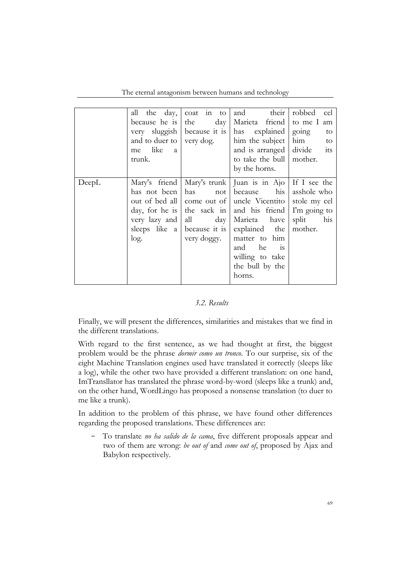The eternal antagonism between humans and technology

|       | all the day,<br>because he is the<br>very sluggish because it is<br>and to duer to very dog.<br>me like a<br>trunk. | coat in to<br>$day \mid$  | their<br>and<br>Marieta friend<br>has explained<br>him the subject<br>and is arranged divide its<br>to take the bull   mother.<br>by the horns.                                                                                                                                                                                        | cel<br>robbed<br>to me I am<br>going<br>to<br>him<br>to                |
|-------|---------------------------------------------------------------------------------------------------------------------|---------------------------|----------------------------------------------------------------------------------------------------------------------------------------------------------------------------------------------------------------------------------------------------------------------------------------------------------------------------------------|------------------------------------------------------------------------|
| DeepL | Mary's friend<br>has not been<br>very lazy and<br>log.                                                              | has<br>all<br>very doggy. | Mary's trunk   Juan is in Ajo   If I see the<br>his  <br>not because<br>out of bed all come out of uncle Vicentito<br>day, for he is $\vert$ the sack in $\vert$ and his friend<br>day   Marieta have<br>sleeps like a because it is explained the<br>matter to him<br>and<br>he<br>1S<br>willing to take<br>the bull by the<br>horns. | asshole who<br>stole my cel<br>I'm going to<br>split<br>his<br>mother. |

#### *3.2. Results*

Finally, we will present the differences, similarities and mistakes that we find in the different translations.

With regard to the first sentence, as we had thought at first, the biggest problem would be the phrase *dormir como un tronco*. To our surprise, six of the eight Machine Translation engines used have translated it correctly (sleeps like a log), while the other two have provided a different translation: on one hand, ImTransllator has translated the phrase word-by-word (sleeps like a trunk) and, on the other hand, WordLingo has proposed a nonsense translation (to duer to me like a trunk).

In addition to the problem of this phrase, we have found other differences regarding the proposed translations. These differences are:

- To translate *no ha salido de la cama*, five different proposals appear and two of them are wrong: *be out of* and *come out of*, proposed by Ajax and Babylon respectively.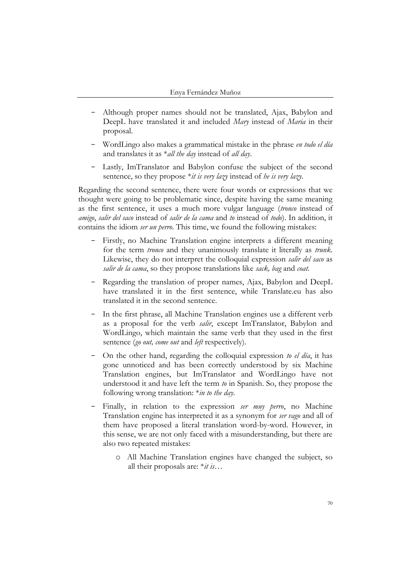- Although proper names should not be translated, Ajax, Babylon and DeepL have translated it and included *Mary* instead of *Maria* in their proposal.
- WordLingo also makes a grammatical mistake in the phrase *en todo el día* and translates it as \**all the day* instead of *all day*.
- Lastly, ImTranslator and Babylon confuse the subject of the second sentence, so they propose \**it is very lazy* instead of *he is very lazy*.

Regarding the second sentence, there were four words or expressions that we thought were going to be problematic since, despite having the same meaning as the first sentence, it uses a much more vulgar language (*tronco* instead of *amigo*, *salir del saco* instead of *salir de la cama* and *to* instead of *todo*). In addition, it contains the idiom *ser un perro*. This time, we found the following mistakes:

- Firstly, no Machine Translation engine interprets a different meaning for the term *tronco* and they unanimously translate it literally as *trunk*. Likewise, they do not interpret the colloquial expression *salir del saco* as *salir de la cama*, so they propose translations like *sack, bag* and *coat*.
- Regarding the translation of proper names, Ajax, Babylon and DeepL have translated it in the first sentence, while Translate.eu has also translated it in the second sentence.
- In the first phrase, all Machine Translation engines use a different verb as a proposal for the verb *salir*, except ImTranslator, Babylon and WordLingo, which maintain the same verb that they used in the first sentence (*go out, come out* and *left* respectively).
- On the other hand, regarding the colloquial expression *to el día*, it has gone unnoticed and has been correctly understood by six Machine Translation engines, but ImTranslator and WordLingo have not understood it and have left the term *to* in Spanish. So, they propose the following wrong translation: \**in to the day*.
- Finally, in relation to the expression *ser muy perro*, no Machine Translation engine has interpreted it as a synonym for *ser vago* and all of them have proposed a literal translation word-by-word. However, in this sense, we are not only faced with a misunderstanding, but there are also two repeated mistakes:
	- o All Machine Translation engines have changed the subject, so all their proposals are: \**it is…*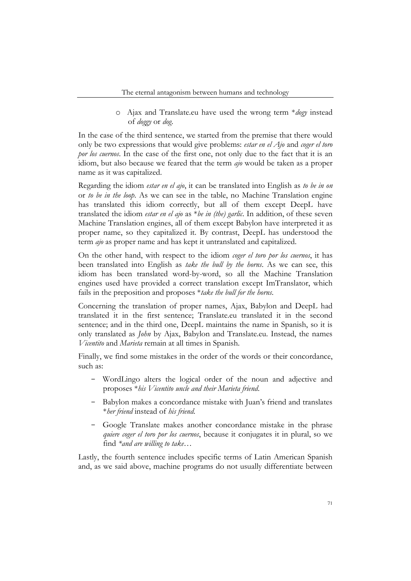o Ajax and Translate.eu have used the wrong term \**dogy* instead of *doggy* or *dog*.

In the case of the third sentence, we started from the premise that there would only be two expressions that would give problems: *estar en el Ajo* and *coger el toro por los cuernos*. In the case of the first one, not only due to the fact that it is an idiom, but also because we feared that the term *ajo* would be taken as a proper name as it was capitalized.

Regarding the idiom *estar en el ajo*, it can be translated into English as *to be in on* or *to be in the loop*. As we can see in the table, no Machine Translation engine has translated this idiom correctly, but all of them except DeepL have translated the idiom *estar en el ajo* as \**be in (the) garlic*. In addition, of these seven Machine Translation engines, all of them except Babylon have interpreted it as proper name, so they capitalized it. By contrast, DeepL has understood the term *ajo* as proper name and has kept it untranslated and capitalized.

On the other hand, with respect to the idiom *coger el toro por los cuernos*, it has been translated into English as *take the bull by the horns*. As we can see, this idiom has been translated word-by-word, so all the Machine Translation engines used have provided a correct translation except ImTranslator, which fails in the preposition and proposes \**take the bull for the horns*.

Concerning the translation of proper names, Ajax, Babylon and DeepL had translated it in the first sentence; Translate.eu translated it in the second sentence; and in the third one, DeepL maintains the name in Spanish, so it is only translated as *John* by Ajax, Babylon and Translate.eu. Instead, the names *Vicentito* and *Marieta* remain at all times in Spanish.

Finally, we find some mistakes in the order of the words or their concordance, such as:

- WordLingo alters the logical order of the noun and adjective and proposes \**his Vicentito uncle and their Marieta friend*.
- Babylon makes a concordance mistake with Juan's friend and translates \**her friend* instead of *his friend*.
- Google Translate makes another concordance mistake in the phrase *quiere coger el toro por los cuernos*, because it conjugates it in plural, so we find *\*and are willing to take…*

Lastly, the fourth sentence includes specific terms of Latin American Spanish and, as we said above, machine programs do not usually differentiate between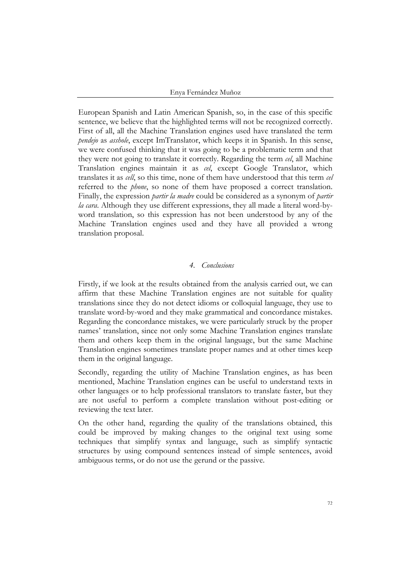European Spanish and Latin American Spanish, so, in the case of this specific sentence, we believe that the highlighted terms will not be recognized correctly. First of all, all the Machine Translation engines used have translated the term *pendejo* as *asshole*, except ImTranslator, which keeps it in Spanish. In this sense, we were confused thinking that it was going to be a problematic term and that they were not going to translate it correctly. Regarding the term *cel*, all Machine Translation engines maintain it as *cel*, except Google Translator, which translates it as *cell*, so this time, none of them have understood that this term *cel* referred to the *phone*, so none of them have proposed a correct translation. Finally, the expression *partir la madre* could be considered as a synonym of *partir la cara*. Although they use different expressions, they all made a literal word-byword translation, so this expression has not been understood by any of the Machine Translation engines used and they have all provided a wrong translation proposal.

#### *4. Conclusions*

Firstly, if we look at the results obtained from the analysis carried out, we can affirm that these Machine Translation engines are not suitable for quality translations since they do not detect idioms or colloquial language, they use to translate word-by-word and they make grammatical and concordance mistakes. Regarding the concordance mistakes, we were particularly struck by the proper names' translation, since not only some Machine Translation engines translate them and others keep them in the original language, but the same Machine Translation engines sometimes translate proper names and at other times keep them in the original language.

Secondly, regarding the utility of Machine Translation engines, as has been mentioned, Machine Translation engines can be useful to understand texts in other languages or to help professional translators to translate faster, but they are not useful to perform a complete translation without post-editing or reviewing the text later.

On the other hand, regarding the quality of the translations obtained, this could be improved by making changes to the original text using some techniques that simplify syntax and language, such as simplify syntactic structures by using compound sentences instead of simple sentences, avoid ambiguous terms, or do not use the gerund or the passive.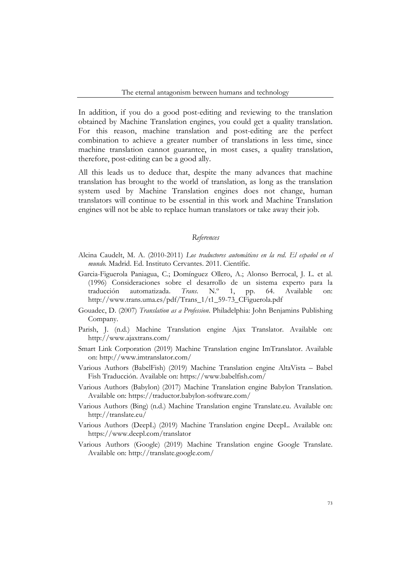In addition, if you do a good post-editing and reviewing to the translation obtained by Machine Translation engines, you could get a quality translation. For this reason, machine translation and post-editing are the perfect combination to achieve a greater number of translations in less time, since machine translation cannot guarantee, in most cases, a quality translation, therefore, post-editing can be a good ally.

All this leads us to deduce that, despite the many advances that machine translation has brought to the world of translation, as long as the translation system used by Machine Translation engines does not change, human translators will continue to be essential in this work and Machine Translation engines will not be able to replace human translators or take away their job.

#### *References*

- Alcina Caudelt, M. A. (2010-2011) *Los traductores automáticos en la red. El español en el mundo.* Madrid. Ed. Instituto Cervantes. 2011. Científic.
- Garcia-Figuerola Paniagua, C.; Domínguez Ollero, A.; Alonso Berrocal, J. L. et al. (1996) Consideraciones sobre el desarrollo de un sistema experto para la traducción automatizada. *Trans*. N.º 1, pp. 64. Available on: http://www.trans.uma.es/pdf/Trans\_1/t1\_59-73\_CFiguerola.pdf
- Gouadec, D. (2007) *Translation as a Profession*. Philadelphia: John Benjamins Publishing Company.
- Parish, J. (n.d.) Machine Translation engine Ajax Translator. Available on: http://www.ajaxtrans.com/
- Smart Link Corporation (2019) Machine Translation engine ImTranslator. Available on: http://www.imtranslator.com/
- Various Authors (BabelFish) (2019) Machine Translation engine AltaVista Babel Fish Traducción. Available on: https://www.babelfish.com/
- Various Authors (Babylon) (2017) Machine Translation engine Babylon Translation. Available on: https://traductor.babylon-software.com/
- Various Authors (Bing) (n.d.) Machine Translation engine Translate.eu. Available on: http://translate.eu/
- Various Authors (DeepL) (2019) Machine Translation engine DeepL. Available on: https://www.deepl.com/translator
- Various Authors (Google) (2019) Machine Translation engine Google Translate. Available on: http://translate.google.com/